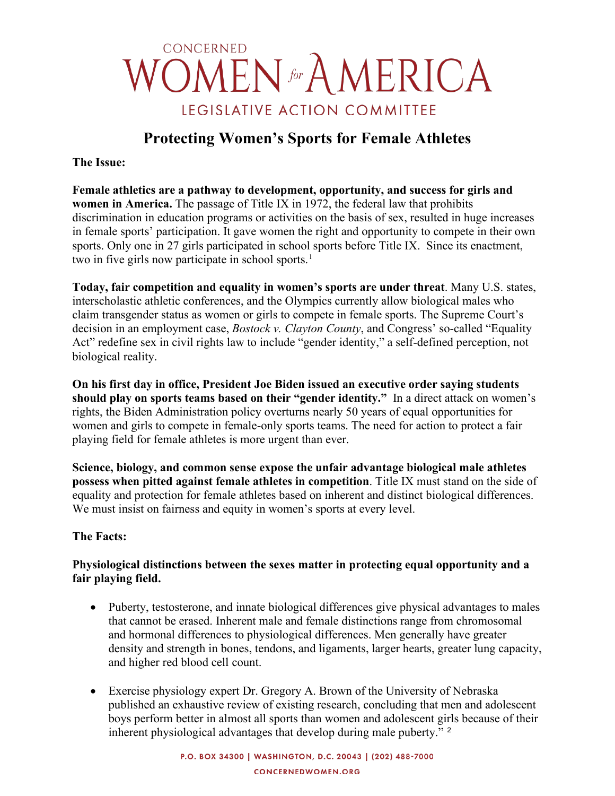# **CONCERNED OMEN** for AMERICA LEGISLATIVE ACTION COMMITTEE

## **Protecting Women's Sports for Female Athletes**

**The Issue:** 

**Female athletics are a pathway to development, opportunity, and success for girls and women in America.** The passage of Title IX in 1972, the federal law that prohibits discrimination in education programs or activities on the basis of sex, resulted in huge increases in female sports' participation. It gave women the right and opportunity to compete in their own sports. Only one in 27 girls participated in school sports before Title IX. Since its enactment, two in five girls now participate in school sports.<sup>[1](#page-3-0)</sup>

**Today, fair competition and equality in women's sports are under threat**. Many U.S. states, interscholastic athletic conferences, and the Olympics currently allow biological males who claim transgender status as women or girls to compete in female sports. The Supreme Court's decision in an employment case, *Bostock v. Clayton County*, and Congress' so-called "Equality Act" redefine sex in civil rights law to include "gender identity," a self-defined perception, not biological reality.

**On his first day in office, President Joe Biden issued an executive order saying students should play on sports teams based on their "gender identity."** In a direct attack on women's rights, the Biden Administration policy overturns nearly 50 years of equal opportunities for women and girls to compete in female-only sports teams. The need for action to protect a fair playing field for female athletes is more urgent than ever.

**Science, biology, and common sense expose the unfair advantage biological male athletes possess when pitted against female athletes in competition**. Title IX must stand on the side of equality and protection for female athletes based on inherent and distinct biological differences. We must insist on fairness and equity in women's sports at every level.

#### **The Facts:**

#### **Physiological distinctions between the sexes matter in protecting equal opportunity and a fair playing field.**

- Puberty, testosterone, and innate biological differences give physical advantages to males that cannot be erased. Inherent male and female distinctions range from chromosomal and hormonal differences to physiological differences. Men generally have greater density and strength in bones, tendons, and ligaments, larger hearts, greater lung capacity, and higher red blood cell count.
- Exercise physiology expert Dr. Gregory A. Brown of the University of Nebraska published an exhaustive review of existing research, concluding that men and adolescent boys perform better in almost all sports than women and adolescent girls because of their inherent physiological advantages that develop during male puberty."<sup>[2](#page-3-1)</sup>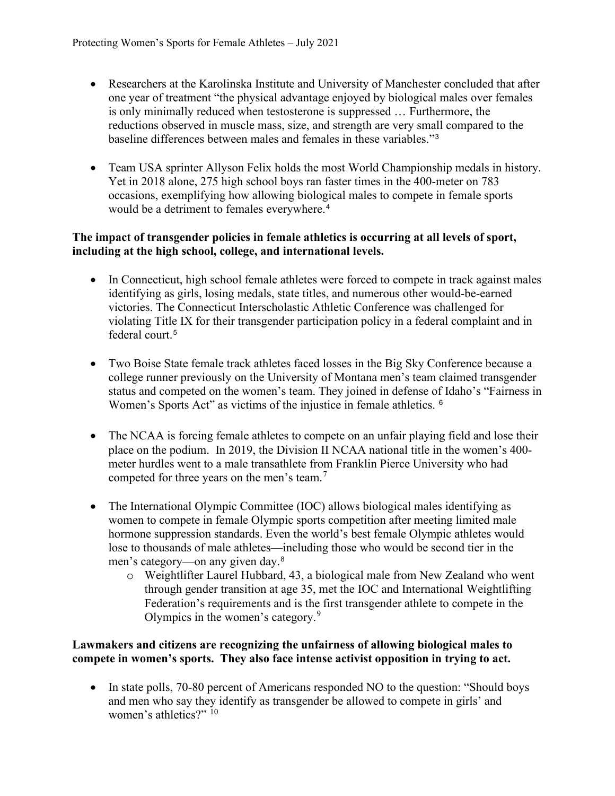- Researchers at the Karolinska Institute and University of Manchester concluded that after one year of treatment "the physical advantage enjoyed by biological males over females is only minimally reduced when testosterone is suppressed … Furthermore, the reductions observed in muscle mass, size, and strength are very small compared to the baseline differences between males and females in these variables."[3](#page-3-2)
- Team USA sprinter Allyson Felix holds the most World Championship medals in history. Yet in 2018 alone, 275 high school boys ran faster times in the 400-meter on 783 occasions, exemplifying how allowing biological males to compete in female sports would be a detriment to females everywhere.<sup>[4](#page-3-3)</sup>

#### **The impact of transgender policies in female athletics is occurring at all levels of sport, including at the high school, college, and international levels.**

- In Connecticut, high school female athletes were forced to compete in track against males identifying as girls, losing medals, state titles, and numerous other would-be-earned victories. The Connecticut Interscholastic Athletic Conference was challenged for violating Title IX for their transgender participation policy in a federal complaint and in federal court. [5](#page-3-4)
- Two Boise State female track athletes faced losses in the Big Sky Conference because a college runner previously on the University of Montana men's team claimed transgender status and competed on the women's team. They joined in defense of Idaho's "Fairness in Women's Sports Act" as victims of the injustice in female athletics. <sup>[6](#page-3-5)</sup>
- The NCAA is forcing female athletes to compete on an unfair playing field and lose their place on the podium. In 2019, the Division II NCAA national title in the women's 400 meter hurdles went to a male transathlete from Franklin Pierce University who had competed for three years on the men's team. $<sup>7</sup>$  $<sup>7</sup>$  $<sup>7</sup>$ </sup>
- The International Olympic Committee (IOC) allows biological males identifying as women to compete in female Olympic sports competition after meeting limited male hormone suppression standards. Even the world's best female Olympic athletes would lose to thousands of male athletes—including those who would be second tier in the men's category—on any given day.[8](#page-3-7)
	- o Weightlifter Laurel Hubbard, 43, a biological male from New Zealand who went through gender transition at age 35, met the IOC and International Weightlifting Federation's requirements and is the first transgender athlete to compete in the Olympics in the women's category.<sup>[9](#page-3-8)</sup>

#### **Lawmakers and citizens are recognizing the unfairness of allowing biological males to compete in women's sports. They also face intense activist opposition in trying to act.**

• In state polls, 70-80 percent of Americans responded NO to the question: "Should boys and men who say they identify as transgender be allowed to compete in girls' and women's athletics?" <sup>[10](#page-3-9)</sup>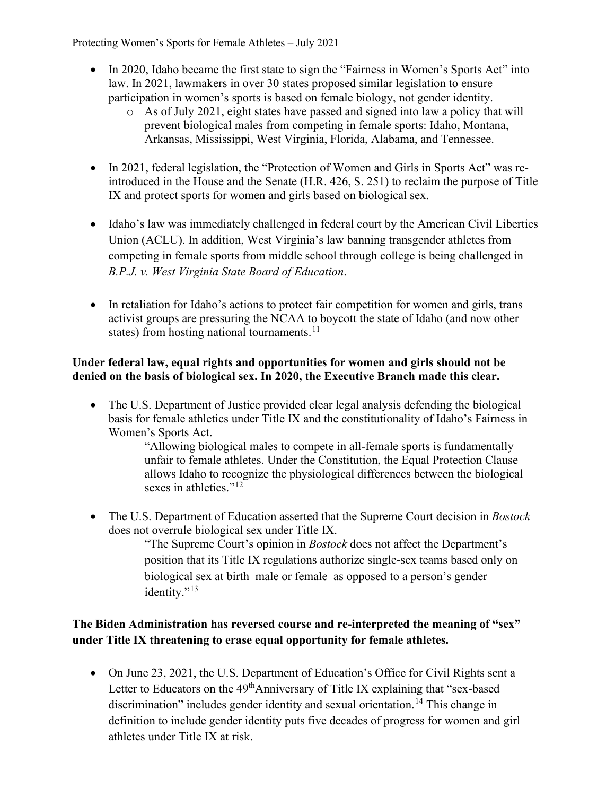Protecting Women's Sports for Female Athletes – July 2021

- In 2020, Idaho became the first state to sign the "Fairness in Women's Sports Act" into law. In 2021, lawmakers in over 30 states proposed similar legislation to ensure participation in women's sports is based on female biology, not gender identity.
	- o As of July 2021, eight states have passed and signed into law a policy that will prevent biological males from competing in female sports: Idaho, Montana, Arkansas, Mississippi, West Virginia, Florida, Alabama, and Tennessee.
- In 2021, federal legislation, the "Protection of Women and Girls in Sports Act" was reintroduced in the House and the Senate (H.R. 426, S. 251) to reclaim the purpose of Title IX and protect sports for women and girls based on biological sex.
- Idaho's law was immediately challenged in federal court by the American Civil Liberties Union (ACLU). In addition, West Virginia's law banning transgender athletes from competing in female sports from middle school through college is being challenged in *B.P.J. v. West Virginia State Board of Education*.
- In retaliation for Idaho's actions to protect fair competition for women and girls, trans activist groups are pressuring the NCAA to boycott the state of Idaho (and now other states) from hosting national tournaments. $11$

#### **Under federal law, equal rights and opportunities for women and girls should not be denied on the basis of biological sex. In 2020, the Executive Branch made this clear.**

• The U.S. Department of Justice provided clear legal analysis defending the biological basis for female athletics under Title IX and the constitutionality of Idaho's Fairness in Women's Sports Act.

"Allowing biological males to compete in all-female sports is fundamentally unfair to female athletes. Under the Constitution, the Equal Protection Clause allows Idaho to recognize the physiological differences between the biological sexes in athletics."<sup>[12](#page-3-11)</sup>

• The U.S. Department of Education asserted that the Supreme Court decision in *Bostock*  does not overrule biological sex under Title IX.

"The Supreme Court's opinion in *Bostock* does not affect the Department's position that its Title IX regulations authorize single-sex teams based only on biological sex at birth–male or female–as opposed to a person's gender identity."<sup>[13](#page-3-12)</sup>

### **The Biden Administration has reversed course and re-interpreted the meaning of "sex" under Title IX threatening to erase equal opportunity for female athletes.**

• On June 23, 2021, the U.S. Department of Education's Office for Civil Rights sent a Letter to Educators on the 49<sup>th</sup>Anniversary of Title IX explaining that "sex-based discrimination" includes gender identity and sexual orientation.<sup>[14](#page-3-13)</sup> This change in definition to include gender identity puts five decades of progress for women and girl athletes under Title IX at risk.